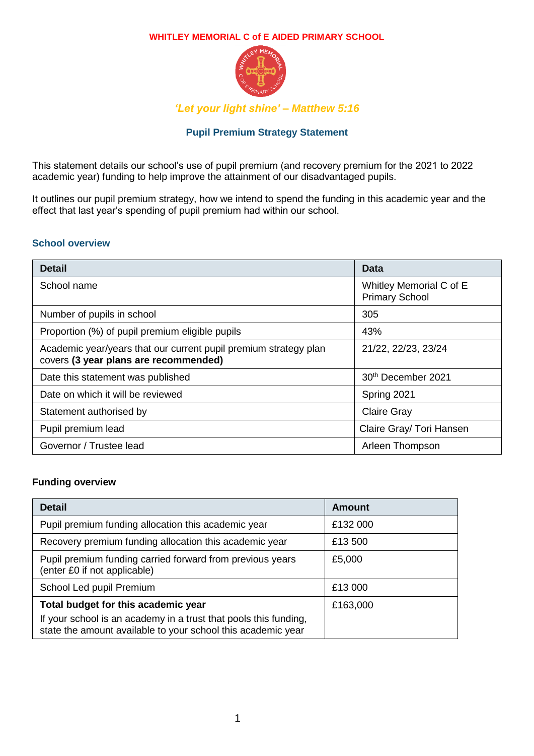

*'Let your light shine' – Matthew 5:16*

## **Pupil Premium Strategy Statement**

This statement details our school's use of pupil premium (and recovery premium for the 2021 to 2022 academic year) funding to help improve the attainment of our disadvantaged pupils.

It outlines our pupil premium strategy, how we intend to spend the funding in this academic year and the effect that last year's spending of pupil premium had within our school.

### **School overview**

| <b>Detail</b>                                                                                             | Data                                             |
|-----------------------------------------------------------------------------------------------------------|--------------------------------------------------|
| School name                                                                                               | Whitley Memorial C of E<br><b>Primary School</b> |
| Number of pupils in school                                                                                | 305                                              |
| Proportion (%) of pupil premium eligible pupils                                                           | 43%                                              |
| Academic year/years that our current pupil premium strategy plan<br>covers (3 year plans are recommended) | 21/22, 22/23, 23/24                              |
| Date this statement was published                                                                         | 30 <sup>th</sup> December 2021                   |
| Date on which it will be reviewed                                                                         | Spring 2021                                      |
| Statement authorised by                                                                                   | <b>Claire Gray</b>                               |
| Pupil premium lead                                                                                        | Claire Gray/ Tori Hansen                         |
| Governor / Trustee lead                                                                                   | Arleen Thompson                                  |

### **Funding overview**

| <b>Detail</b>                                                                                                                    | Amount   |
|----------------------------------------------------------------------------------------------------------------------------------|----------|
| Pupil premium funding allocation this academic year                                                                              | £132 000 |
| Recovery premium funding allocation this academic year                                                                           | £13 500  |
| Pupil premium funding carried forward from previous years<br>(enter £0 if not applicable)                                        | £5,000   |
| School Led pupil Premium                                                                                                         | £13 000  |
| Total budget for this academic year                                                                                              | £163,000 |
| If your school is an academy in a trust that pools this funding,<br>state the amount available to your school this academic year |          |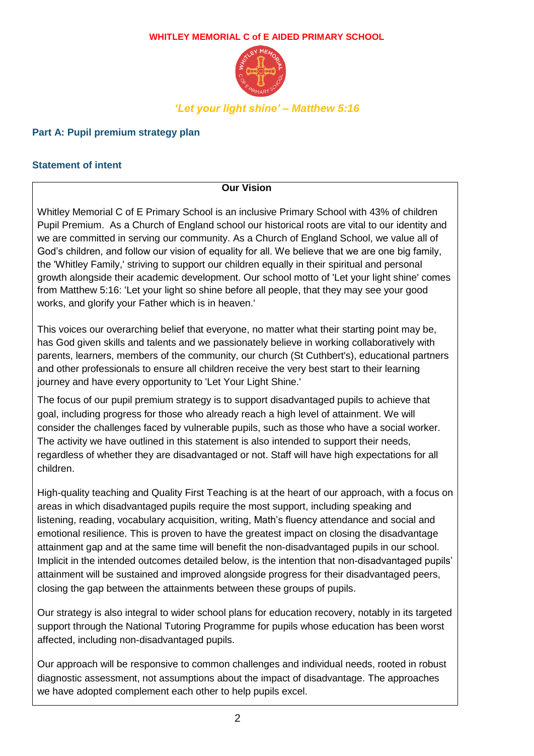

## **Part A: Pupil premium strategy plan**

## **Statement of intent**

**Our Vision**

Whitley Memorial C of E Primary School is an inclusive Primary School with 43% of children Pupil Premium. As a Church of England school our historical roots are vital to our identity and we are committed in serving our community. As a Church of England School, we value all of God's children, and follow our vision of equality for all. We believe that we are one big family, the 'Whitley Family,' striving to support our children equally in their spiritual and personal growth alongside their academic development. Our school motto of 'Let your light shine' comes from Matthew 5:16: 'Let your light so shine before all people, that they may see your good works, and glorify your Father which is in heaven.'

This voices our overarching belief that everyone, no matter what their starting point may be, has God given skills and talents and we passionately believe in working collaboratively with parents, learners, members of the community, our church (St Cuthbert's), educational partners and other professionals to ensure all children receive the very best start to their learning journey and have every opportunity to 'Let Your Light Shine.'

The focus of our pupil premium strategy is to support disadvantaged pupils to achieve that goal, including progress for those who already reach a high level of attainment. We will consider the challenges faced by vulnerable pupils, such as those who have a social worker. The activity we have outlined in this statement is also intended to support their needs, regardless of whether they are disadvantaged or not. Staff will have high expectations for all children.

High-quality teaching and Quality First Teaching is at the heart of our approach, with a focus on areas in which disadvantaged pupils require the most support, including speaking and listening, reading, vocabulary acquisition, writing, Math's fluency attendance and social and emotional resilience. This is proven to have the greatest impact on closing the disadvantage attainment gap and at the same time will benefit the non-disadvantaged pupils in our school. Implicit in the intended outcomes detailed below, is the intention that non-disadvantaged pupils' attainment will be sustained and improved alongside progress for their disadvantaged peers, closing the gap between the attainments between these groups of pupils.

Our strategy is also integral to wider school plans for education recovery, notably in its targeted support through the National Tutoring Programme for pupils whose education has been worst affected, including non-disadvantaged pupils.

Our approach will be responsive to common challenges and individual needs, rooted in robust diagnostic assessment, not assumptions about the impact of disadvantage. The approaches we have adopted complement each other to help pupils excel.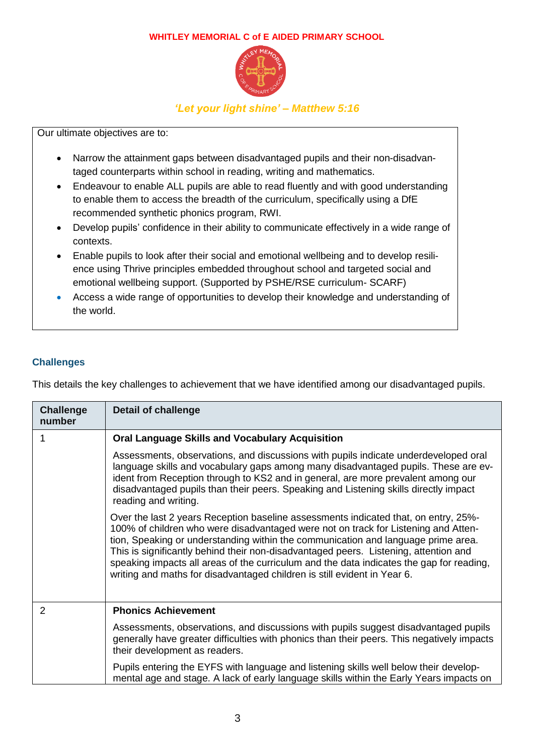

*'Let your light shine' – Matthew 5:16*

Our ultimate objectives are to:

- Narrow the attainment gaps between disadvantaged pupils and their non-disadvantaged counterparts within school in reading, writing and mathematics.
- Endeavour to enable ALL pupils are able to read fluently and with good understanding to enable them to access the breadth of the curriculum, specifically using a DfE recommended synthetic phonics program, RWI.
- Develop pupils' confidence in their ability to communicate effectively in a wide range of contexts.
- Enable pupils to look after their social and emotional wellbeing and to develop resilience using Thrive principles embedded throughout school and targeted social and emotional wellbeing support. (Supported by PSHE/RSE curriculum- SCARF)
- Access a wide range of opportunities to develop their knowledge and understanding of the world.

## **Challenges**

This details the key challenges to achievement that we have identified among our disadvantaged pupils.

| <b>Challenge</b><br>number | <b>Detail of challenge</b>                                                                                                                                                                                                                                                                                                                                                                                                                                                                                                     |
|----------------------------|--------------------------------------------------------------------------------------------------------------------------------------------------------------------------------------------------------------------------------------------------------------------------------------------------------------------------------------------------------------------------------------------------------------------------------------------------------------------------------------------------------------------------------|
| 1                          | <b>Oral Language Skills and Vocabulary Acquisition</b>                                                                                                                                                                                                                                                                                                                                                                                                                                                                         |
|                            | Assessments, observations, and discussions with pupils indicate underdeveloped oral<br>language skills and vocabulary gaps among many disadvantaged pupils. These are ev-<br>ident from Reception through to KS2 and in general, are more prevalent among our<br>disadvantaged pupils than their peers. Speaking and Listening skills directly impact<br>reading and writing.                                                                                                                                                  |
|                            | Over the last 2 years Reception baseline assessments indicated that, on entry, 25%-<br>100% of children who were disadvantaged were not on track for Listening and Atten-<br>tion, Speaking or understanding within the communication and language prime area.<br>This is significantly behind their non-disadvantaged peers. Listening, attention and<br>speaking impacts all areas of the curriculum and the data indicates the gap for reading,<br>writing and maths for disadvantaged children is still evident in Year 6. |
| 2                          | <b>Phonics Achievement</b>                                                                                                                                                                                                                                                                                                                                                                                                                                                                                                     |
|                            | Assessments, observations, and discussions with pupils suggest disadvantaged pupils<br>generally have greater difficulties with phonics than their peers. This negatively impacts<br>their development as readers.                                                                                                                                                                                                                                                                                                             |
|                            | Pupils entering the EYFS with language and listening skills well below their develop-<br>mental age and stage. A lack of early language skills within the Early Years impacts on                                                                                                                                                                                                                                                                                                                                               |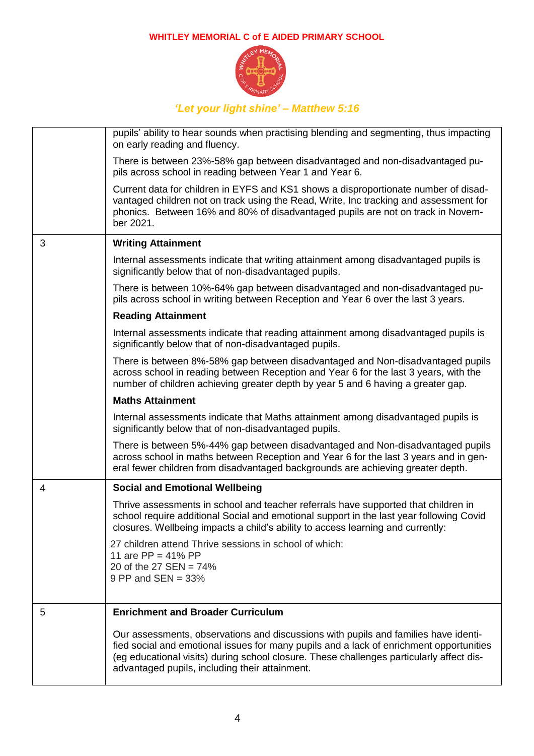

|   | pupils' ability to hear sounds when practising blending and segmenting, thus impacting<br>on early reading and fluency.                                                                                                                                                                                                      |
|---|------------------------------------------------------------------------------------------------------------------------------------------------------------------------------------------------------------------------------------------------------------------------------------------------------------------------------|
|   | There is between 23%-58% gap between disadvantaged and non-disadvantaged pu-<br>pils across school in reading between Year 1 and Year 6.                                                                                                                                                                                     |
|   | Current data for children in EYFS and KS1 shows a disproportionate number of disad-<br>vantaged children not on track using the Read, Write, Inc tracking and assessment for<br>phonics. Between 16% and 80% of disadvantaged pupils are not on track in Novem-<br>ber 2021.                                                 |
| 3 | <b>Writing Attainment</b>                                                                                                                                                                                                                                                                                                    |
|   | Internal assessments indicate that writing attainment among disadvantaged pupils is<br>significantly below that of non-disadvantaged pupils.                                                                                                                                                                                 |
|   | There is between 10%-64% gap between disadvantaged and non-disadvantaged pu-<br>pils across school in writing between Reception and Year 6 over the last 3 years.                                                                                                                                                            |
|   | <b>Reading Attainment</b>                                                                                                                                                                                                                                                                                                    |
|   | Internal assessments indicate that reading attainment among disadvantaged pupils is<br>significantly below that of non-disadvantaged pupils.                                                                                                                                                                                 |
|   | There is between 8%-58% gap between disadvantaged and Non-disadvantaged pupils<br>across school in reading between Reception and Year 6 for the last 3 years, with the<br>number of children achieving greater depth by year 5 and 6 having a greater gap.                                                                   |
|   | <b>Maths Attainment</b>                                                                                                                                                                                                                                                                                                      |
|   | Internal assessments indicate that Maths attainment among disadvantaged pupils is<br>significantly below that of non-disadvantaged pupils.                                                                                                                                                                                   |
|   | There is between 5%-44% gap between disadvantaged and Non-disadvantaged pupils<br>across school in maths between Reception and Year 6 for the last 3 years and in gen-<br>eral fewer children from disadvantaged backgrounds are achieving greater depth.                                                                    |
| 4 | <b>Social and Emotional Wellbeing</b>                                                                                                                                                                                                                                                                                        |
|   | Thrive assessments in school and teacher referrals have supported that children in<br>school require additional Social and emotional support in the last year following Covid<br>closures. Wellbeing impacts a child's ability to access learning and currently:                                                             |
|   | 27 children attend Thrive sessions in school of which:<br>11 are $PP = 41\% PP$<br>20 of the 27 SEN = $74\%$<br>9 PP and $SEN = 33%$                                                                                                                                                                                         |
|   |                                                                                                                                                                                                                                                                                                                              |
| 5 | <b>Enrichment and Broader Curriculum</b>                                                                                                                                                                                                                                                                                     |
|   | Our assessments, observations and discussions with pupils and families have identi-<br>fied social and emotional issues for many pupils and a lack of enrichment opportunities<br>(eg educational visits) during school closure. These challenges particularly affect dis-<br>advantaged pupils, including their attainment. |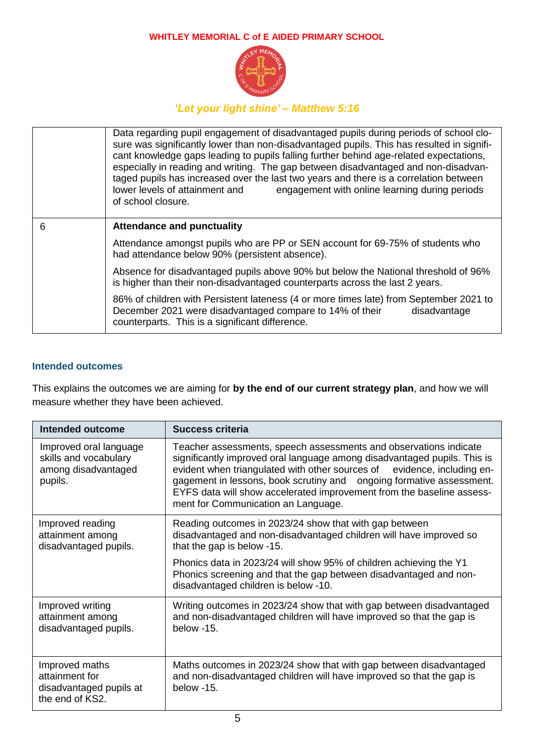

# *'Let your light shine' – Matthew 5:16*

|   | Data regarding pupil engagement of disadvantaged pupils during periods of school clo-<br>sure was significantly lower than non-disadvantaged pupils. This has resulted in signifi-<br>cant knowledge gaps leading to pupils falling further behind age-related expectations,<br>especially in reading and writing. The gap between disadvantaged and non-disadvan-<br>taged pupils has increased over the last two years and there is a correlation between<br>lower levels of attainment and<br>engagement with online learning during periods<br>of school closure. |  |
|---|-----------------------------------------------------------------------------------------------------------------------------------------------------------------------------------------------------------------------------------------------------------------------------------------------------------------------------------------------------------------------------------------------------------------------------------------------------------------------------------------------------------------------------------------------------------------------|--|
| 6 | <b>Attendance and punctuality</b>                                                                                                                                                                                                                                                                                                                                                                                                                                                                                                                                     |  |
|   | Attendance amongst pupils who are PP or SEN account for 69-75% of students who<br>had attendance below 90% (persistent absence).                                                                                                                                                                                                                                                                                                                                                                                                                                      |  |
|   | Absence for disadvantaged pupils above 90% but below the National threshold of 96%<br>is higher than their non-disadvantaged counterparts across the last 2 years.                                                                                                                                                                                                                                                                                                                                                                                                    |  |
|   | 86% of children with Persistent lateness (4 or more times late) from September 2021 to<br>December 2021 were disadvantaged compare to 14% of their<br>disadvantage<br>counterparts. This is a significant difference.                                                                                                                                                                                                                                                                                                                                                 |  |

#### **Intended outcomes**

This explains the outcomes we are aiming for **by the end of our current strategy plan**, and how we will measure whether they have been achieved.

| <b>Intended outcome</b>                                                           | Success criteria                                                                                                                                                                                                                                                                                                                                                                                                 |
|-----------------------------------------------------------------------------------|------------------------------------------------------------------------------------------------------------------------------------------------------------------------------------------------------------------------------------------------------------------------------------------------------------------------------------------------------------------------------------------------------------------|
| Improved oral language<br>skills and vocabulary<br>among disadvantaged<br>pupils. | Teacher assessments, speech assessments and observations indicate<br>significantly improved oral language among disadvantaged pupils. This is<br>evident when triangulated with other sources of evidence, including en-<br>gagement in lessons, book scrutiny and ongoing formative assessment.<br>EYFS data will show accelerated improvement from the baseline assess-<br>ment for Communication an Language. |
| Improved reading<br>attainment among<br>disadvantaged pupils.                     | Reading outcomes in 2023/24 show that with gap between<br>disadvantaged and non-disadvantaged children will have improved so<br>that the gap is below -15.                                                                                                                                                                                                                                                       |
|                                                                                   | Phonics data in 2023/24 will show 95% of children achieving the Y1<br>Phonics screening and that the gap between disadvantaged and non-<br>disadvantaged children is below -10.                                                                                                                                                                                                                                  |
| Improved writing<br>attainment among<br>disadvantaged pupils.                     | Writing outcomes in 2023/24 show that with gap between disadvantaged<br>and non-disadvantaged children will have improved so that the gap is<br>below -15.                                                                                                                                                                                                                                                       |
| Improved maths<br>attainment for<br>disadvantaged pupils at<br>the end of KS2.    | Maths outcomes in 2023/24 show that with gap between disadvantaged<br>and non-disadvantaged children will have improved so that the gap is<br>$helow -15$                                                                                                                                                                                                                                                        |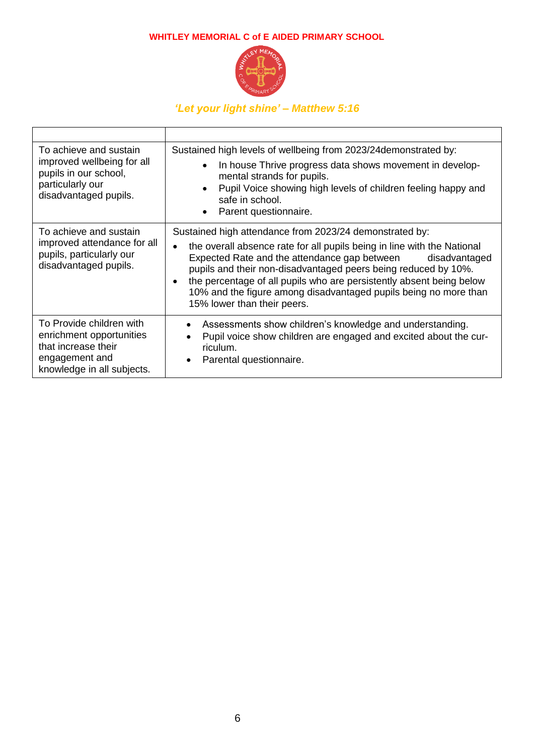

| To achieve and sustain<br>improved wellbeing for all<br>pupils in our school,<br>particularly our<br>disadvantaged pupils.  | Sustained high levels of wellbeing from 2023/24 demonstrated by:<br>In house Thrive progress data shows movement in develop-<br>$\bullet$<br>mental strands for pupils.<br>Pupil Voice showing high levels of children feeling happy and<br>safe in school.<br>Parent questionnaire.                                                                                                                                                             |
|-----------------------------------------------------------------------------------------------------------------------------|--------------------------------------------------------------------------------------------------------------------------------------------------------------------------------------------------------------------------------------------------------------------------------------------------------------------------------------------------------------------------------------------------------------------------------------------------|
| To achieve and sustain<br>improved attendance for all<br>pupils, particularly our<br>disadvantaged pupils.                  | Sustained high attendance from 2023/24 demonstrated by:<br>the overall absence rate for all pupils being in line with the National<br>Expected Rate and the attendance gap between<br>disadvantaged<br>pupils and their non-disadvantaged peers being reduced by 10%.<br>the percentage of all pupils who are persistently absent being below<br>10% and the figure among disadvantaged pupils being no more than<br>15% lower than their peers. |
| To Provide children with<br>enrichment opportunities<br>that increase their<br>engagement and<br>knowledge in all subjects. | Assessments show children's knowledge and understanding.<br>٠<br>Pupil voice show children are engaged and excited about the cur-<br>riculum.<br>Parental questionnaire.                                                                                                                                                                                                                                                                         |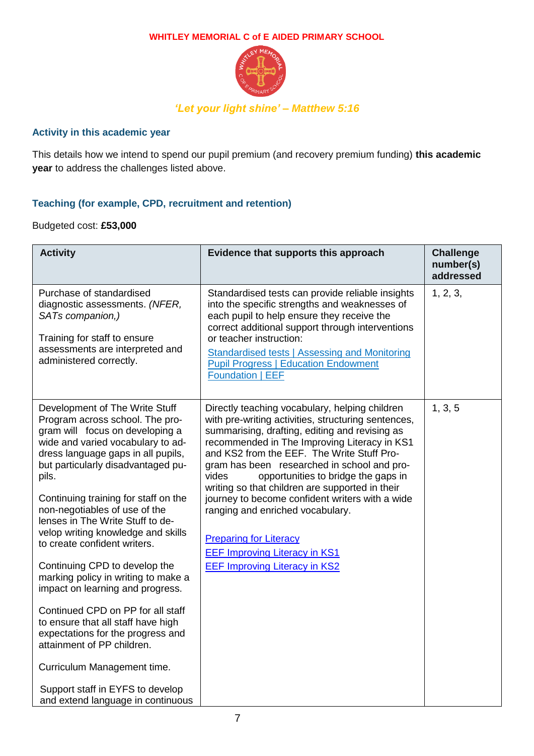

### **Activity in this academic year**

This details how we intend to spend our pupil premium (and recovery premium funding) **this academic year** to address the challenges listed above.

## **Teaching (for example, CPD, recruitment and retention)**

#### Budgeted cost: **£53,000**

| <b>Activity</b>                                                                                                                                                                                                                                                                                                                                                                                                                                                                                                                                                                                                                                                                                                                                                                     | Evidence that supports this approach                                                                                                                                                                                                                                                                                                                                                                                                                                                                                                                                                                            | <b>Challenge</b><br>number(s)<br>addressed |
|-------------------------------------------------------------------------------------------------------------------------------------------------------------------------------------------------------------------------------------------------------------------------------------------------------------------------------------------------------------------------------------------------------------------------------------------------------------------------------------------------------------------------------------------------------------------------------------------------------------------------------------------------------------------------------------------------------------------------------------------------------------------------------------|-----------------------------------------------------------------------------------------------------------------------------------------------------------------------------------------------------------------------------------------------------------------------------------------------------------------------------------------------------------------------------------------------------------------------------------------------------------------------------------------------------------------------------------------------------------------------------------------------------------------|--------------------------------------------|
| Purchase of standardised<br>diagnostic assessments. (NFER,<br>SATs companion,)<br>Training for staff to ensure<br>assessments are interpreted and<br>administered correctly.                                                                                                                                                                                                                                                                                                                                                                                                                                                                                                                                                                                                        | Standardised tests can provide reliable insights<br>into the specific strengths and weaknesses of<br>each pupil to help ensure they receive the<br>correct additional support through interventions<br>or teacher instruction:<br><b>Standardised tests   Assessing and Monitoring</b><br><b>Pupil Progress   Education Endowment</b><br><b>Foundation   EEF</b>                                                                                                                                                                                                                                                | 1, 2, 3,                                   |
| Development of The Write Stuff<br>Program across school. The pro-<br>gram will focus on developing a<br>wide and varied vocabulary to ad-<br>dress language gaps in all pupils,<br>but particularly disadvantaged pu-<br>pils.<br>Continuing training for staff on the<br>non-negotiables of use of the<br>lenses in The Write Stuff to de-<br>velop writing knowledge and skills<br>to create confident writers.<br>Continuing CPD to develop the<br>marking policy in writing to make a<br>impact on learning and progress.<br>Continued CPD on PP for all staff<br>to ensure that all staff have high<br>expectations for the progress and<br>attainment of PP children.<br>Curriculum Management time.<br>Support staff in EYFS to develop<br>and extend language in continuous | Directly teaching vocabulary, helping children<br>with pre-writing activities, structuring sentences,<br>summarising, drafting, editing and revising as<br>recommended in The Improving Literacy in KS1<br>and KS2 from the EEF. The Write Stuff Pro-<br>gram has been researched in school and pro-<br>opportunities to bridge the gaps in<br>vides<br>writing so that children are supported in their<br>journey to become confident writers with a wide<br>ranging and enriched vocabulary.<br><b>Preparing for Literacy</b><br><b>EEF Improving Literacy in KS1</b><br><b>EEF Improving Literacy in KS2</b> | 1, 3, 5                                    |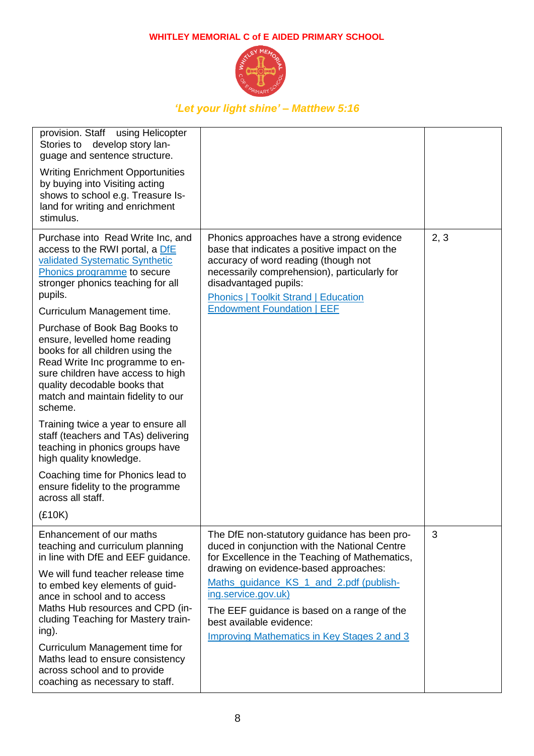

| provision. Staff using Helicopter<br>Stories to develop story lan-<br>guage and sentence structure.<br><b>Writing Enrichment Opportunities</b><br>by buying into Visiting acting<br>shows to school e.g. Treasure Is-<br>land for writing and enrichment<br>stimulus.                                                                                                                                                                                                                                                                                                                                                                                                                                                                   |                                                                                                                                                                                                                                                                                                                                                                                             |      |
|-----------------------------------------------------------------------------------------------------------------------------------------------------------------------------------------------------------------------------------------------------------------------------------------------------------------------------------------------------------------------------------------------------------------------------------------------------------------------------------------------------------------------------------------------------------------------------------------------------------------------------------------------------------------------------------------------------------------------------------------|---------------------------------------------------------------------------------------------------------------------------------------------------------------------------------------------------------------------------------------------------------------------------------------------------------------------------------------------------------------------------------------------|------|
| Purchase into Read Write Inc, and<br>access to the RWI portal, a DfE<br>validated Systematic Synthetic<br>Phonics programme to secure<br>stronger phonics teaching for all<br>pupils.<br>Curriculum Management time.<br>Purchase of Book Bag Books to<br>ensure, levelled home reading<br>books for all children using the<br>Read Write Inc programme to en-<br>sure children have access to high<br>quality decodable books that<br>match and maintain fidelity to our<br>scheme.<br>Training twice a year to ensure all<br>staff (teachers and TAs) delivering<br>teaching in phonics groups have<br>high quality knowledge.<br>Coaching time for Phonics lead to<br>ensure fidelity to the programme<br>across all staff.<br>(E10K) | Phonics approaches have a strong evidence<br>base that indicates a positive impact on the<br>accuracy of word reading (though not<br>necessarily comprehension), particularly for<br>disadvantaged pupils:<br><b>Phonics   Toolkit Strand   Education</b><br><b>Endowment Foundation   EEF</b>                                                                                              | 2, 3 |
| Enhancement of our maths<br>teaching and curriculum planning<br>in line with DfE and EEF guidance.<br>We will fund teacher release time<br>to embed key elements of guid-<br>ance in school and to access<br>Maths Hub resources and CPD (in-<br>cluding Teaching for Mastery train-<br>ing).<br>Curriculum Management time for<br>Maths lead to ensure consistency<br>across school and to provide<br>coaching as necessary to staff.                                                                                                                                                                                                                                                                                                  | The DfE non-statutory guidance has been pro-<br>duced in conjunction with the National Centre<br>for Excellence in the Teaching of Mathematics,<br>drawing on evidence-based approaches:<br>Maths_guidance_KS_1_and_2.pdf (publish-<br>ing.service.gov.uk)<br>The EEF guidance is based on a range of the<br>best available evidence:<br><b>Improving Mathematics in Key Stages 2 and 3</b> | 3    |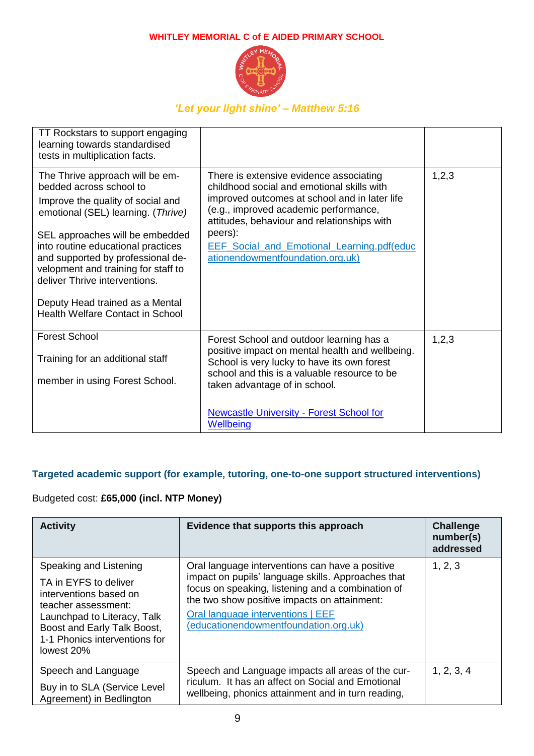

## *'Let your light shine' – Matthew 5:16*

| TT Rockstars to support engaging<br>learning towards standardised<br>tests in multiplication facts.                                                                                                                                                                                                                                                                                                       |                                                                                                                                                                                                                                                                                                                             |       |
|-----------------------------------------------------------------------------------------------------------------------------------------------------------------------------------------------------------------------------------------------------------------------------------------------------------------------------------------------------------------------------------------------------------|-----------------------------------------------------------------------------------------------------------------------------------------------------------------------------------------------------------------------------------------------------------------------------------------------------------------------------|-------|
| The Thrive approach will be em-<br>bedded across school to<br>Improve the quality of social and<br>emotional (SEL) learning. (Thrive)<br>SEL approaches will be embedded<br>into routine educational practices<br>and supported by professional de-<br>velopment and training for staff to<br>deliver Thrive interventions.<br>Deputy Head trained as a Mental<br><b>Health Welfare Contact in School</b> | There is extensive evidence associating<br>childhood social and emotional skills with<br>improved outcomes at school and in later life<br>(e.g., improved academic performance,<br>attitudes, behaviour and relationships with<br>peers):<br>EEF_Social_and_Emotional_Learning.pdf(educ<br>ationendowmentfoundation.org.uk) | 1,2,3 |
| <b>Forest School</b><br>Training for an additional staff<br>member in using Forest School.                                                                                                                                                                                                                                                                                                                | Forest School and outdoor learning has a<br>positive impact on mental health and wellbeing.<br>School is very lucky to have its own forest<br>school and this is a valuable resource to be<br>taken advantage of in school.                                                                                                 | 1,2,3 |
|                                                                                                                                                                                                                                                                                                                                                                                                           | <b>Newcastle University - Forest School for</b><br>Wellbeing                                                                                                                                                                                                                                                                |       |

## **Targeted academic support (for example, tutoring, one-to-one support structured interventions)**

## Budgeted cost: **£65,000 (incl. NTP Money)**

| <b>Activity</b>                                                                                                                                                                                               | Evidence that supports this approach                                                                                                                                                                                                                                                     | <b>Challenge</b><br>number(s)<br>addressed |
|---------------------------------------------------------------------------------------------------------------------------------------------------------------------------------------------------------------|------------------------------------------------------------------------------------------------------------------------------------------------------------------------------------------------------------------------------------------------------------------------------------------|--------------------------------------------|
| Speaking and Listening<br>TA in EYFS to deliver<br>interventions based on<br>teacher assessment:<br>Launchpad to Literacy, Talk<br>Boost and Early Talk Boost,<br>1-1 Phonics interventions for<br>lowest 20% | Oral language interventions can have a positive<br>impact on pupils' language skills. Approaches that<br>focus on speaking, listening and a combination of<br>the two show positive impacts on attainment:<br>Oral language interventions   EEF<br>(educationendowmentfoundation.org.uk) | 1, 2, 3                                    |
| Speech and Language<br>Buy in to SLA (Service Level<br>Agreement) in Bedlington                                                                                                                               | Speech and Language impacts all areas of the cur-<br>riculum. It has an affect on Social and Emotional<br>wellbeing, phonics attainment and in turn reading,                                                                                                                             | 1, 2, 3, 4                                 |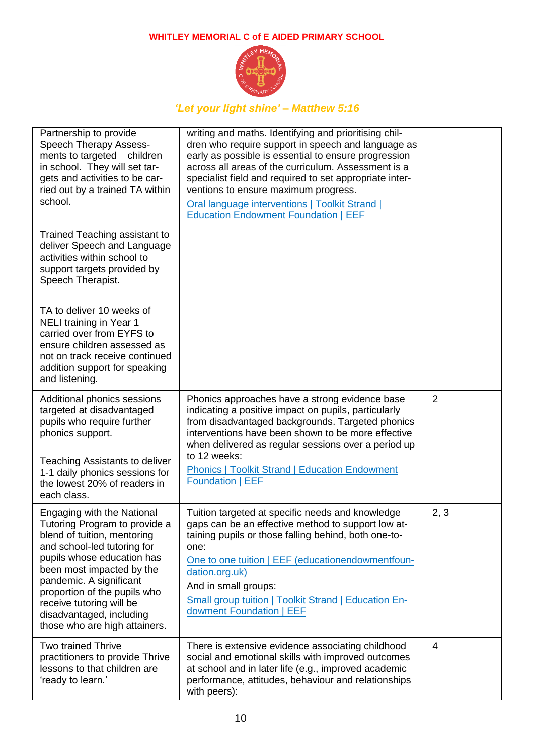

| Partnership to provide<br><b>Speech Therapy Assess-</b><br>ments to targeted children<br>in school. They will set tar-<br>gets and activities to be car-<br>ried out by a trained TA within<br>school.                                                                                                                                   | writing and maths. Identifying and prioritising chil-<br>dren who require support in speech and language as<br>early as possible is essential to ensure progression<br>across all areas of the curriculum. Assessment is a<br>specialist field and required to set appropriate inter-<br>ventions to ensure maximum progress.<br>Oral language interventions   Toolkit Strand  <br><b>Education Endowment Foundation   EEF</b> |                |
|------------------------------------------------------------------------------------------------------------------------------------------------------------------------------------------------------------------------------------------------------------------------------------------------------------------------------------------|--------------------------------------------------------------------------------------------------------------------------------------------------------------------------------------------------------------------------------------------------------------------------------------------------------------------------------------------------------------------------------------------------------------------------------|----------------|
| Trained Teaching assistant to<br>deliver Speech and Language<br>activities within school to<br>support targets provided by<br>Speech Therapist.                                                                                                                                                                                          |                                                                                                                                                                                                                                                                                                                                                                                                                                |                |
| TA to deliver 10 weeks of<br><b>NELI training in Year 1</b><br>carried over from EYFS to<br>ensure children assessed as<br>not on track receive continued<br>addition support for speaking<br>and listening.                                                                                                                             |                                                                                                                                                                                                                                                                                                                                                                                                                                |                |
| Additional phonics sessions<br>targeted at disadvantaged<br>pupils who require further<br>phonics support.<br><b>Teaching Assistants to deliver</b><br>1-1 daily phonics sessions for<br>the lowest 20% of readers in<br>each class.                                                                                                     | Phonics approaches have a strong evidence base<br>indicating a positive impact on pupils, particularly<br>from disadvantaged backgrounds. Targeted phonics<br>interventions have been shown to be more effective<br>when delivered as regular sessions over a period up<br>to 12 weeks:<br><b>Phonics   Toolkit Strand   Education Endowment</b><br><b>Foundation   EEF</b>                                                    | $\overline{2}$ |
| Engaging with the National<br>Tutoring Program to provide a<br>blend of tuition, mentoring<br>and school-led tutoring for<br>pupils whose education has<br>been most impacted by the<br>pandemic. A significant<br>proportion of the pupils who<br>receive tutoring will be<br>disadvantaged, including<br>those who are high attainers. | Tuition targeted at specific needs and knowledge<br>gaps can be an effective method to support low at-<br>taining pupils or those falling behind, both one-to-<br>one:<br>One to one tuition   EEF (educationendowmentfoun-<br>dation.org.uk)<br>And in small groups:<br><b>Small group tuition   Toolkit Strand   Education En-</b><br>dowment Foundation   EEF                                                               | 2, 3           |
| <b>Two trained Thrive</b><br>practitioners to provide Thrive<br>lessons to that children are<br>'ready to learn.'                                                                                                                                                                                                                        | There is extensive evidence associating childhood<br>social and emotional skills with improved outcomes<br>at school and in later life (e.g., improved academic<br>performance, attitudes, behaviour and relationships<br>with peers):                                                                                                                                                                                         | 4              |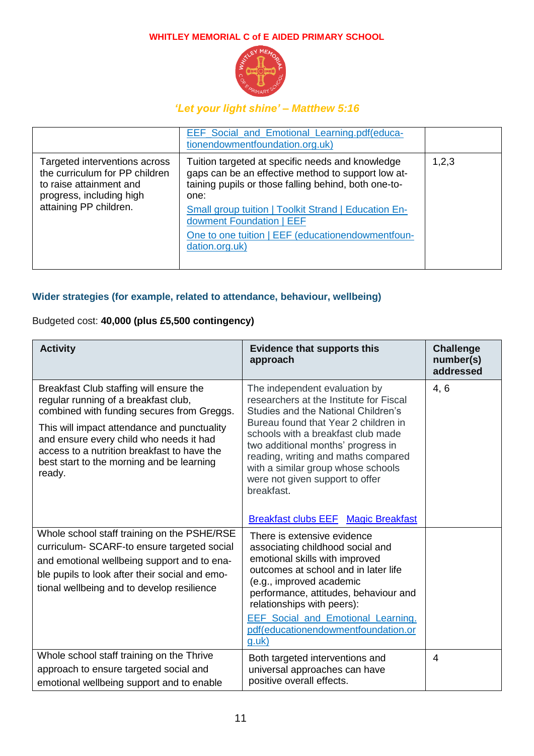

# *'Let your light shine' – Matthew 5:16*

|                                                                                                                                                  | EEF_Social_and_Emotional_Learning.pdf(educa-<br>tionendowmentfoundation.org.uk)                                                                                                                                                                                                                                                          |       |
|--------------------------------------------------------------------------------------------------------------------------------------------------|------------------------------------------------------------------------------------------------------------------------------------------------------------------------------------------------------------------------------------------------------------------------------------------------------------------------------------------|-------|
| Targeted interventions across<br>the curriculum for PP children<br>to raise attainment and<br>progress, including high<br>attaining PP children. | Tuition targeted at specific needs and knowledge<br>gaps can be an effective method to support low at-<br>taining pupils or those falling behind, both one-to-<br>one:<br><b>Small group tuition   Toolkit Strand   Education En-</b><br>dowment Foundation   EEF<br>One to one tuition   EEF (educationendowmentfoun-<br>dation.org.uk) | 1,2,3 |

## **Wider strategies (for example, related to attendance, behaviour, wellbeing)**

## Budgeted cost: **40,000 (plus £5,500 contingency)**

| <b>Activity</b>                                                                                                                                                                                                                                                                                                               | <b>Evidence that supports this</b><br>approach                                                                                                                                                                                                                                                                                                                    | <b>Challenge</b><br>number(s)<br>addressed |
|-------------------------------------------------------------------------------------------------------------------------------------------------------------------------------------------------------------------------------------------------------------------------------------------------------------------------------|-------------------------------------------------------------------------------------------------------------------------------------------------------------------------------------------------------------------------------------------------------------------------------------------------------------------------------------------------------------------|--------------------------------------------|
| Breakfast Club staffing will ensure the<br>regular running of a breakfast club,<br>combined with funding secures from Greggs.<br>This will impact attendance and punctuality<br>and ensure every child who needs it had<br>access to a nutrition breakfast to have the<br>best start to the morning and be learning<br>ready. | The independent evaluation by<br>researchers at the Institute for Fiscal<br>Studies and the National Children's<br>Bureau found that Year 2 children in<br>schools with a breakfast club made<br>two additional months' progress in<br>reading, writing and maths compared<br>with a similar group whose schools<br>were not given support to offer<br>breakfast. | 4, 6                                       |
|                                                                                                                                                                                                                                                                                                                               | <b>Breakfast clubs EEF</b> Magic Breakfast                                                                                                                                                                                                                                                                                                                        |                                            |
| Whole school staff training on the PSHE/RSE<br>curriculum- SCARF-to ensure targeted social<br>and emotional wellbeing support and to ena-<br>ble pupils to look after their social and emo-<br>tional wellbeing and to develop resilience                                                                                     | There is extensive evidence<br>associating childhood social and<br>emotional skills with improved<br>outcomes at school and in later life<br>(e.g., improved academic<br>performance, attitudes, behaviour and<br>relationships with peers):                                                                                                                      |                                            |
|                                                                                                                                                                                                                                                                                                                               | <b>EEF Social and Emotional Learning.</b><br>pdf(educationendowmentfoundation.or<br>$g.$ uk $)$                                                                                                                                                                                                                                                                   |                                            |
| Whole school staff training on the Thrive<br>approach to ensure targeted social and<br>emotional wellbeing support and to enable                                                                                                                                                                                              | Both targeted interventions and<br>universal approaches can have<br>positive overall effects.                                                                                                                                                                                                                                                                     | $\overline{4}$                             |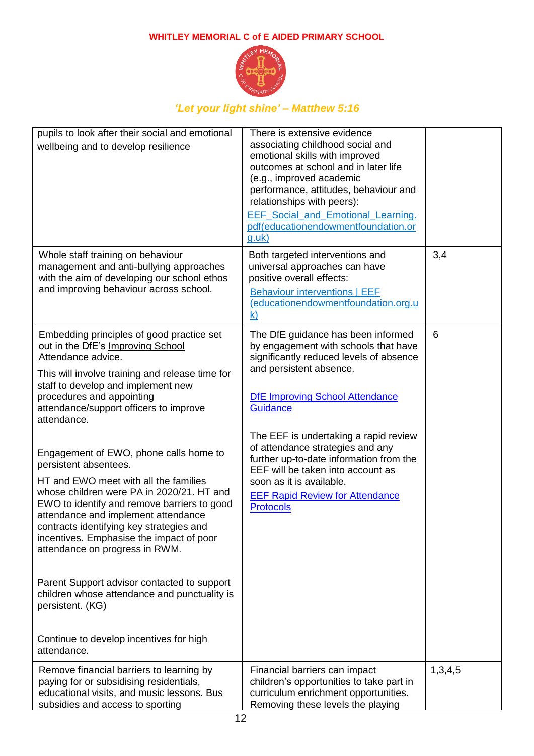

| pupils to look after their social and emotional<br>wellbeing and to develop resilience                                                                                                                                                                                                                                                                                                                                                                                                   | There is extensive evidence<br>associating childhood social and<br>emotional skills with improved<br>outcomes at school and in later life<br>(e.g., improved academic<br>performance, attitudes, behaviour and<br>relationships with peers):<br><b>EEF Social and Emotional Learning.</b><br>pdf(educationendowmentfoundation.or<br>g.uk) |         |
|------------------------------------------------------------------------------------------------------------------------------------------------------------------------------------------------------------------------------------------------------------------------------------------------------------------------------------------------------------------------------------------------------------------------------------------------------------------------------------------|-------------------------------------------------------------------------------------------------------------------------------------------------------------------------------------------------------------------------------------------------------------------------------------------------------------------------------------------|---------|
| Whole staff training on behaviour<br>management and anti-bullying approaches<br>with the aim of developing our school ethos<br>and improving behaviour across school.                                                                                                                                                                                                                                                                                                                    | Both targeted interventions and<br>universal approaches can have<br>positive overall effects:<br><b>Behaviour interventions   EEF</b><br>(educationendowmentfoundation.org.u<br>k)                                                                                                                                                        | 3,4     |
| Embedding principles of good practice set<br>out in the DfE's Improving School<br>Attendance advice.<br>This will involve training and release time for<br>staff to develop and implement new<br>procedures and appointing<br>attendance/support officers to improve<br>attendance.                                                                                                                                                                                                      | The DfE guidance has been informed<br>by engagement with schools that have<br>significantly reduced levels of absence<br>and persistent absence.<br><b>DfE Improving School Attendance</b><br><b>Guidance</b>                                                                                                                             | 6       |
| Engagement of EWO, phone calls home to<br>persistent absentees.<br>HT and EWO meet with all the families<br>whose children were PA in 2020/21. HT and<br>EWO to identify and remove barriers to good<br>attendance and implement attendance<br>contracts identifying key strategies and<br>incentives. Emphasise the impact of poor<br>attendance on progress in RWM.<br>Parent Support advisor contacted to support<br>children whose attendance and punctuality is<br>persistent. (KG) | The EEF is undertaking a rapid review<br>of attendance strategies and any<br>further up-to-date information from the<br>EEF will be taken into account as<br>soon as it is available.<br><b>EEF Rapid Review for Attendance</b><br><b>Protocols</b>                                                                                       |         |
| Continue to develop incentives for high<br>attendance.                                                                                                                                                                                                                                                                                                                                                                                                                                   |                                                                                                                                                                                                                                                                                                                                           |         |
| Remove financial barriers to learning by<br>paying for or subsidising residentials,<br>educational visits, and music lessons. Bus<br>subsidies and access to sporting                                                                                                                                                                                                                                                                                                                    | Financial barriers can impact<br>children's opportunities to take part in<br>curriculum enrichment opportunities.<br>Removing these levels the playing                                                                                                                                                                                    | 1,3,4,5 |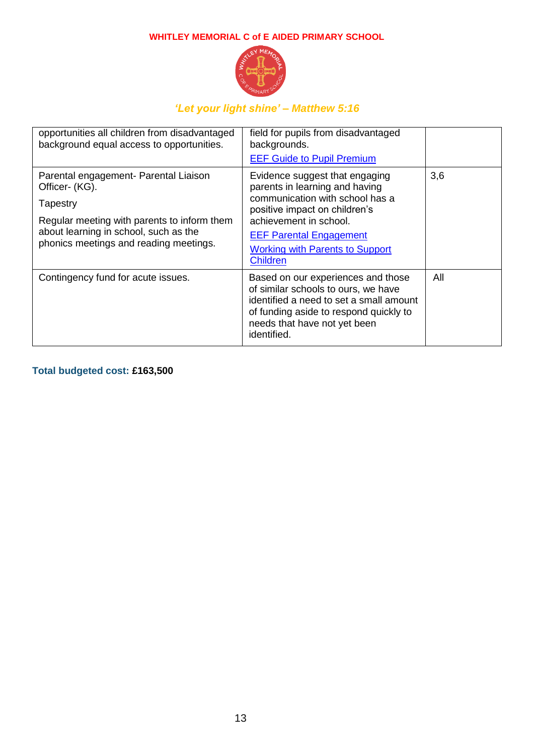

## *'Let your light shine' – Matthew 5:16*

| opportunities all children from disadvantaged<br>background equal access to opportunities.                                                                                                            | field for pupils from disadvantaged<br>backgrounds.<br><b>EEF Guide to Pupil Premium</b>                                                                                                                                                                      |     |
|-------------------------------------------------------------------------------------------------------------------------------------------------------------------------------------------------------|---------------------------------------------------------------------------------------------------------------------------------------------------------------------------------------------------------------------------------------------------------------|-----|
| Parental engagement- Parental Liaison<br>Officer- (KG).<br>Tapestry<br>Regular meeting with parents to inform them<br>about learning in school, such as the<br>phonics meetings and reading meetings. | Evidence suggest that engaging<br>parents in learning and having<br>communication with school has a<br>positive impact on children's<br>achievement in school.<br><b>EEF Parental Engagement</b><br><b>Working with Parents to Support</b><br><b>Children</b> | 3,6 |
| Contingency fund for acute issues.                                                                                                                                                                    | Based on our experiences and those<br>of similar schools to ours, we have<br>identified a need to set a small amount<br>of funding aside to respond quickly to<br>needs that have not yet been<br>identified.                                                 | All |

## **Total budgeted cost: £163,500**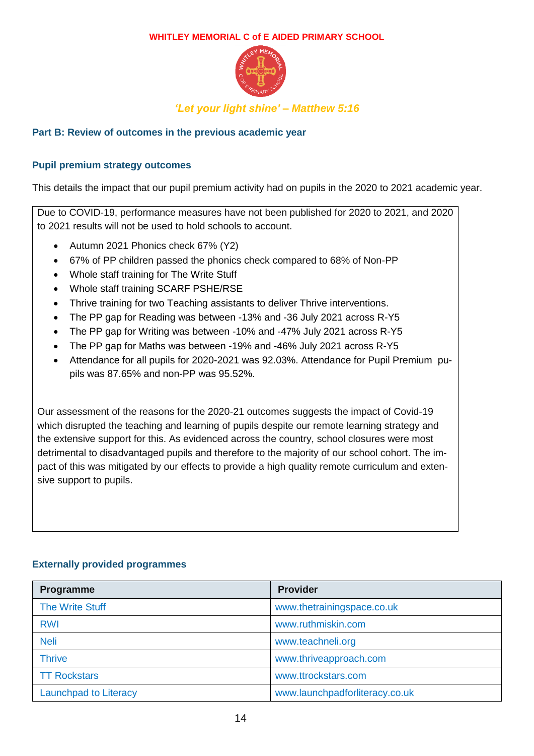

# *'Let your light shine' – Matthew 5:16*

#### **Part B: Review of outcomes in the previous academic year**

#### **Pupil premium strategy outcomes**

This details the impact that our pupil premium activity had on pupils in the 2020 to 2021 academic year.

Due to COVID-19, performance measures have not been published for 2020 to 2021, and 2020 to 2021 results will not be used to hold schools to account.

- Autumn 2021 Phonics check 67% (Y2)
- 67% of PP children passed the phonics check compared to 68% of Non-PP
- Whole staff training for The Write Stuff
- Whole staff training SCARF PSHE/RSE
- Thrive training for two Teaching assistants to deliver Thrive interventions.
- The PP gap for Reading was between -13% and -36 July 2021 across R-Y5
- The PP gap for Writing was between -10% and -47% July 2021 across R-Y5
- The PP gap for Maths was between -19% and -46% July 2021 across R-Y5
- Attendance for all pupils for 2020-2021 was 92.03%. Attendance for Pupil Premium pupils was 87.65% and non-PP was 95.52%.

Our assessment of the reasons for the 2020-21 outcomes suggests the impact of Covid-19 which disrupted the teaching and learning of pupils despite our remote learning strategy and the extensive support for this. As evidenced across the country, school closures were most detrimental to disadvantaged pupils and therefore to the majority of our school cohort. The impact of this was mitigated by our effects to provide a high quality remote curriculum and extensive support to pupils.

#### **Externally provided programmes**

| Programme                    | <b>Provider</b>                |
|------------------------------|--------------------------------|
| <b>The Write Stuff</b>       | www.thetrainingspace.co.uk     |
| <b>RWI</b>                   | www.ruthmiskin.com             |
| <b>Neli</b>                  | www.teachneli.org              |
| <b>Thrive</b>                | www.thriveapproach.com         |
| <b>TT Rockstars</b>          | www.ttrockstars.com            |
| <b>Launchpad to Literacy</b> | www.launchpadforliteracy.co.uk |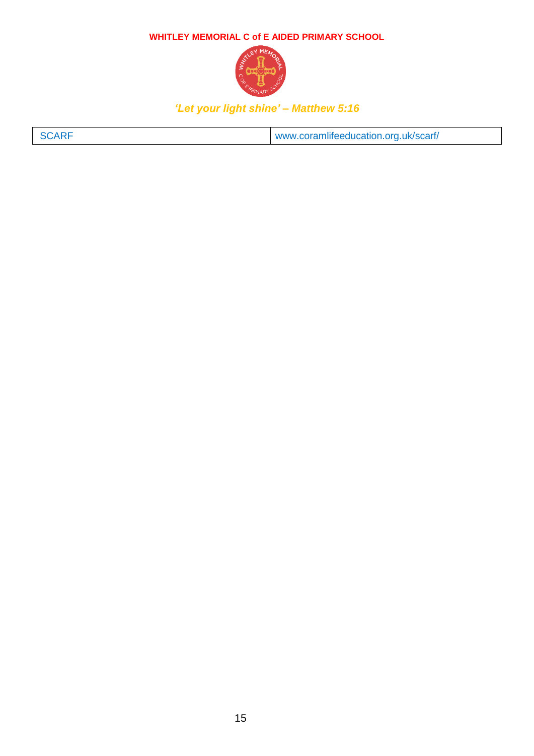

| SCARF | www.coramlifeeducation.org.uk/scarf/ |
|-------|--------------------------------------|
|-------|--------------------------------------|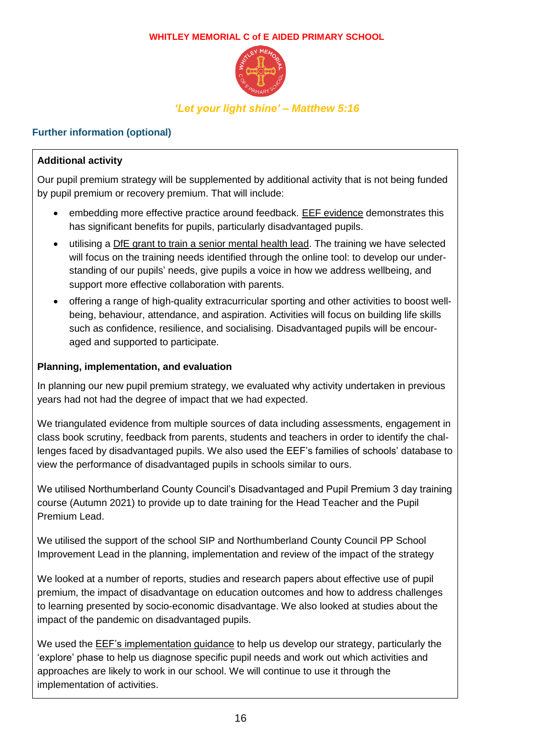

## **Further information (optional)**

## **Additional activity**

Our pupil premium strategy will be supplemented by additional activity that is not being funded by pupil premium or recovery premium. That will include:

- embedding more effective practice around feedback. [EEF evidence](https://educationendowmentfoundation.org.uk/education-evidence/teaching-learning-toolkit/feedback) demonstrates this has significant benefits for pupils, particularly disadvantaged pupils.
- utilising a [DfE grant to train a senior mental health lead.](https://www.gov.uk/guidance/senior-mental-health-lead-training) The training we have selected will focus on the training needs identified through the online tool: to develop our understanding of our pupils' needs, give pupils a voice in how we address wellbeing, and support more effective collaboration with parents.
- offering a range of high-quality extracurricular sporting and other activities to boost wellbeing, behaviour, attendance, and aspiration. Activities will focus on building life skills such as confidence, resilience, and socialising. Disadvantaged pupils will be encouraged and supported to participate.

### **Planning, implementation, and evaluation**

In planning our new pupil premium strategy, we evaluated why activity undertaken in previous years had not had the degree of impact that we had expected.

We triangulated evidence from multiple sources of data including assessments, engagement in class book scrutiny, feedback from parents, students and teachers in order to identify the challenges faced by disadvantaged pupils. We also used the EEF's families of schools' database to view the performance of disadvantaged pupils in schools similar to ours.

We utilised Northumberland County Council's Disadvantaged and Pupil Premium 3 day training course (Autumn 2021) to provide up to date training for the Head Teacher and the Pupil Premium Lead.

We utilised the support of the school SIP and Northumberland County Council PP School Improvement Lead in the planning, implementation and review of the impact of the strategy

We looked at a number of reports, studies and research papers about effective use of pupil premium, the impact of disadvantage on education outcomes and how to address challenges to learning presented by socio-economic disadvantage. We also looked at studies about the impact of the pandemic on disadvantaged pupils.

We used the EEF's implementation quidance to help us develop our strategy, particularly the 'explore' phase to help us diagnose specific pupil needs and work out which activities and approaches are likely to work in our school. We will continue to use it through the implementation of activities.